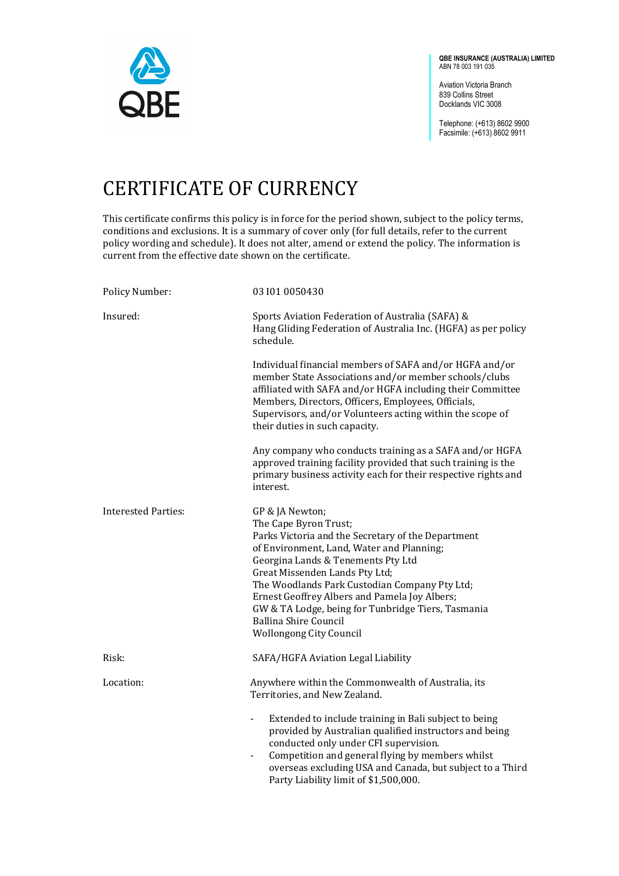

**QBE INSURANCE (AUSTRALIA) LIMITED** ABN 78 003 191 035

Aviation Victoria Branch 839 Collins Street Docklands VIC 3008

Telephone: (+613) 8602 9900 Facsimile: (+613) 8602 9911

## CERTIFICATE OF CURRENCY

This certificate confirms this policy is in force for the period shown, subject to the policy terms, conditions and exclusions. It is a summary of cover only (for full details, refer to the current policy wording and schedule). It does not alter, amend or extend the policy. The information is current from the effective date shown on the certificate.

| Policy Number:             | 03 101 0050430                                                                                                                                                                                                                                                                                                                                                                                                                                |
|----------------------------|-----------------------------------------------------------------------------------------------------------------------------------------------------------------------------------------------------------------------------------------------------------------------------------------------------------------------------------------------------------------------------------------------------------------------------------------------|
| Insured:                   | Sports Aviation Federation of Australia (SAFA) &<br>Hang Gliding Federation of Australia Inc. (HGFA) as per policy<br>schedule.                                                                                                                                                                                                                                                                                                               |
|                            | Individual financial members of SAFA and/or HGFA and/or<br>member State Associations and/or member schools/clubs<br>affiliated with SAFA and/or HGFA including their Committee<br>Members, Directors, Officers, Employees, Officials,<br>Supervisors, and/or Volunteers acting within the scope of<br>their duties in such capacity.                                                                                                          |
|                            | Any company who conducts training as a SAFA and/or HGFA<br>approved training facility provided that such training is the<br>primary business activity each for their respective rights and<br>interest.                                                                                                                                                                                                                                       |
| <b>Interested Parties:</b> | GP & JA Newton;<br>The Cape Byron Trust;<br>Parks Victoria and the Secretary of the Department<br>of Environment, Land, Water and Planning;<br>Georgina Lands & Tenements Pty Ltd<br>Great Missenden Lands Pty Ltd;<br>The Woodlands Park Custodian Company Pty Ltd;<br>Ernest Geoffrey Albers and Pamela Joy Albers;<br>GW & TA Lodge, being for Tunbridge Tiers, Tasmania<br><b>Ballina Shire Council</b><br><b>Wollongong City Council</b> |
| Risk:                      | SAFA/HGFA Aviation Legal Liability                                                                                                                                                                                                                                                                                                                                                                                                            |
| Location:                  | Anywhere within the Commonwealth of Australia, its<br>Territories, and New Zealand.                                                                                                                                                                                                                                                                                                                                                           |
|                            | Extended to include training in Bali subject to being<br>-<br>provided by Australian qualified instructors and being<br>conducted only under CFI supervision.<br>Competition and general flying by members whilst<br>overseas excluding USA and Canada, but subject to a Third<br>Party Liability limit of \$1,500,000.                                                                                                                       |